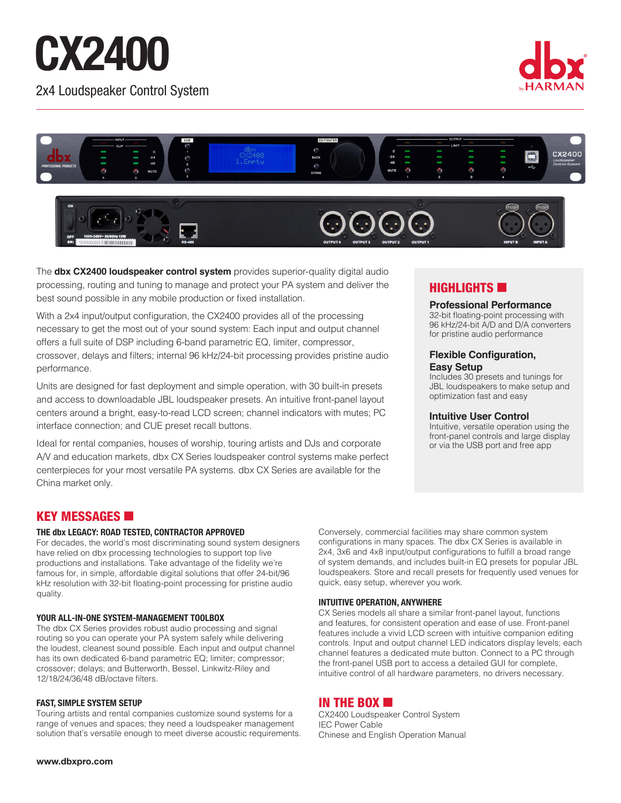# CX2400 2x4 Loudspeaker Control System





The **dbx CX2400 loudspeaker control system** provides superior-quality digital audio processing, routing and tuning to manage and protect your PA system and deliver the best sound possible in any mobile production or fixed installation.

With a 2x4 input/output configuration, the CX2400 provides all of the processing necessary to get the most out of your sound system: Each input and output channel offers a full suite of DSP including 6-band parametric EQ, limiter, compressor, crossover, delays and filters; internal 96 kHz/24-bit processing provides pristine audio performance.

Units are designed for fast deployment and simple operation, with 30 built-in presets and access to downloadable JBL loudspeaker presets. An intuitive front-panel layout centers around a bright, easy-to-read LCD screen; channel indicators with mutes; PC interface connection; and CUE preset recall buttons.

Ideal for rental companies, houses of worship, touring artists and DJs and corporate A/V and education markets, dbx CX Series loudspeaker control systems make perfect centerpieces for your most versatile PA systems. dbx CX Series are available for the China market only.

### **HIGHLIGHTS**

#### **Professional Performance**

32-bit floating-point processing with 96 kHz/24-bit A/D and D/A converters for pristine audio performance

#### **Flexible Configuration, Easy Setup**

Includes 30 presets and tunings for JBL loudspeakers to make setup and optimization fast and easy

#### **Intuitive User Control**

Intuitive, versatile operation using the front-panel controls and large display or via the USB port and free app

# KEY MESSAGES **6**

#### **THE dbx LEGACY: ROAD TESTED, CONTRACTOR APPROVED**

For decades, the world's most discriminating sound system designers have relied on dbx processing technologies to support top live productions and installations. Take advantage of the fidelity we're famous for, in simple, affordable digital solutions that offer 24-bit/96 kHz resolution with 32-bit floating-point processing for pristine audio quality.

#### **YOUR ALL-IN-ONE SYSTEM-MANAGEMENT TOOLBOX**

The dbx CX Series provides robust audio processing and signal routing so you can operate your PA system safely while delivering the loudest, cleanest sound possible. Each input and output channel has its own dedicated 6-band parametric EQ; limiter; compressor; crossover; delays; and Butterworth, Bessel, Linkwitz-Riley and 12/18/24/36/48 dB/octave filters.

#### **FAST, SIMPLE SYSTEM SETUP**

Touring artists and rental companies customize sound systems for a range of venues and spaces; they need a loudspeaker management solution that's versatile enough to meet diverse acoustic requirements. Conversely, commercial facilities may share common system configurations in many spaces. The dbx CX Series is available in 2x4, 3x6 and 4x8 input/output configurations to fulfill a broad range of system demands, and includes built-in EQ presets for popular JBL loudspeakers. Store and recall presets for frequently used venues for quick, easy setup, wherever you work.

#### **INTUITIVE OPERATION, ANYWHERE**

CX Series models all share a similar front-panel layout, functions and features, for consistent operation and ease of use. Front-panel features include a vivid LCD screen with intuitive companion editing controls. Input and output channel LED indicators display levels; each channel features a dedicated mute button. Connect to a PC through the front-panel USB port to access a detailed GUI for complete, intuitive control of all hardware parameters, no drivers necessary.

#### IN THE BOX  $\blacksquare$

CX2400 Loudspeaker Control System IEC Power Cable Chinese and English Operation Manual